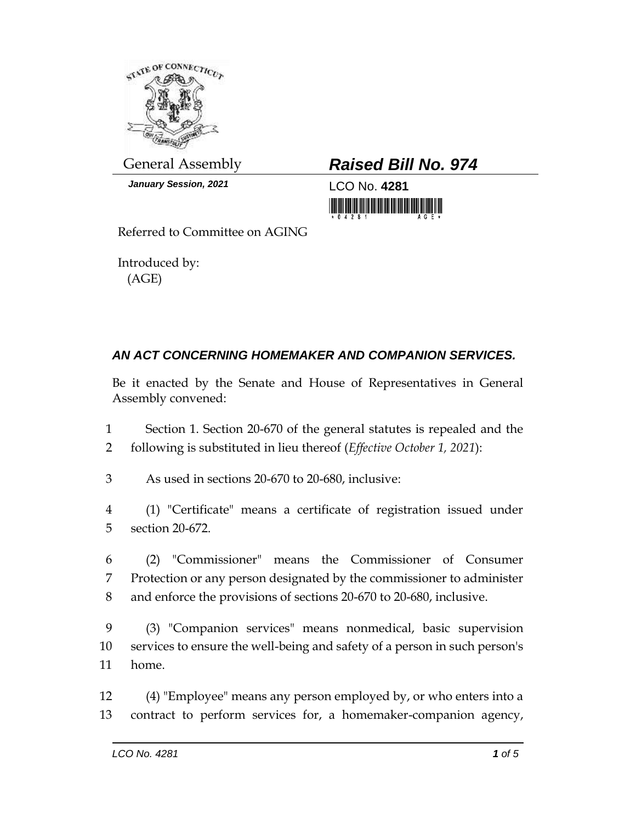

*January Session, 2021* LCO No. **4281**

## General Assembly *Raised Bill No. 974*

<u> 1999 - Andrew Maria Maria Maria Maria Maria Maria Maria Maria Maria Maria Maria Maria Maria Maria Maria Mari</u>

Referred to Committee on AGING

Introduced by: (AGE)

## *AN ACT CONCERNING HOMEMAKER AND COMPANION SERVICES.*

Be it enacted by the Senate and House of Representatives in General Assembly convened:

- 1 Section 1. Section 20-670 of the general statutes is repealed and the 2 following is substituted in lieu thereof (*Effective October 1, 2021*):
- 3 As used in sections 20-670 to 20-680, inclusive:
- 4 (1) "Certificate" means a certificate of registration issued under 5 section 20-672.
- 6 (2) "Commissioner" means the Commissioner of Consumer 7 Protection or any person designated by the commissioner to administer 8 and enforce the provisions of sections 20-670 to 20-680, inclusive.
- 9 (3) "Companion services" means nonmedical, basic supervision 10 services to ensure the well-being and safety of a person in such person's 11 home.
- 12 (4) "Employee" means any person employed by, or who enters into a 13 contract to perform services for, a homemaker-companion agency,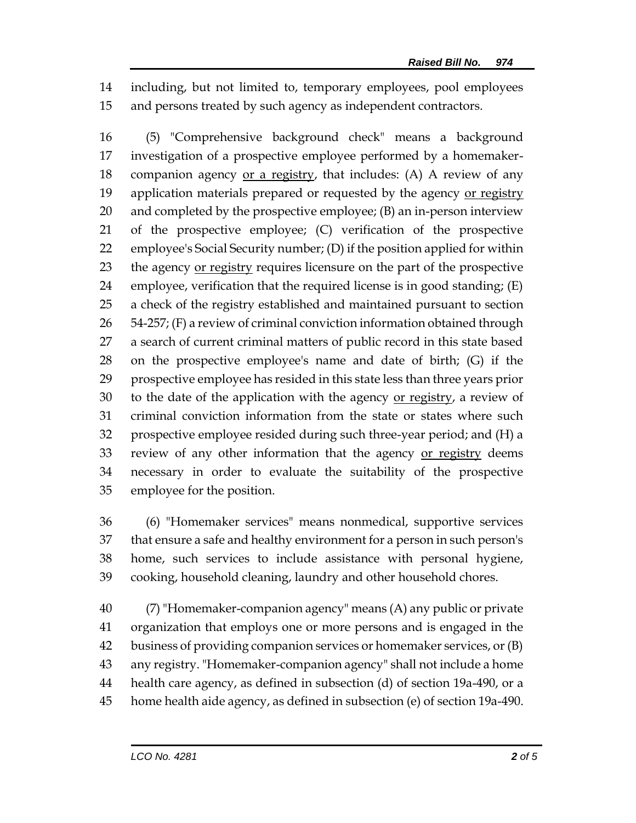including, but not limited to, temporary employees, pool employees and persons treated by such agency as independent contractors.

 (5) "Comprehensive background check" means a background investigation of a prospective employee performed by a homemaker-18 companion agency or a registry, that includes:  $(A)$  A review of any 19 application materials prepared or requested by the agency or registry and completed by the prospective employee; (B) an in-person interview of the prospective employee; (C) verification of the prospective employee's Social Security number; (D) if the position applied for within 23 the agency or registry requires licensure on the part of the prospective employee, verification that the required license is in good standing; (E) a check of the registry established and maintained pursuant to section  $54-257$ ; (F) a review of criminal conviction information obtained through a search of current criminal matters of public record in this state based on the prospective employee's name and date of birth; (G) if the prospective employee has resided in this state less than three years prior 30 to the date of the application with the agency <u>or registry</u>, a review of criminal conviction information from the state or states where such prospective employee resided during such three-year period; and (H) a 33 review of any other information that the agency or registry deems necessary in order to evaluate the suitability of the prospective employee for the position.

 (6) "Homemaker services" means nonmedical, supportive services that ensure a safe and healthy environment for a person in such person's home, such services to include assistance with personal hygiene, cooking, household cleaning, laundry and other household chores.

 (7) "Homemaker-companion agency" means (A) any public or private organization that employs one or more persons and is engaged in the business of providing companion services or homemaker services, or (B) any registry. "Homemaker-companion agency" shall not include a home health care agency, as defined in subsection (d) of section 19a-490, or a home health aide agency, as defined in subsection (e) of section 19a-490.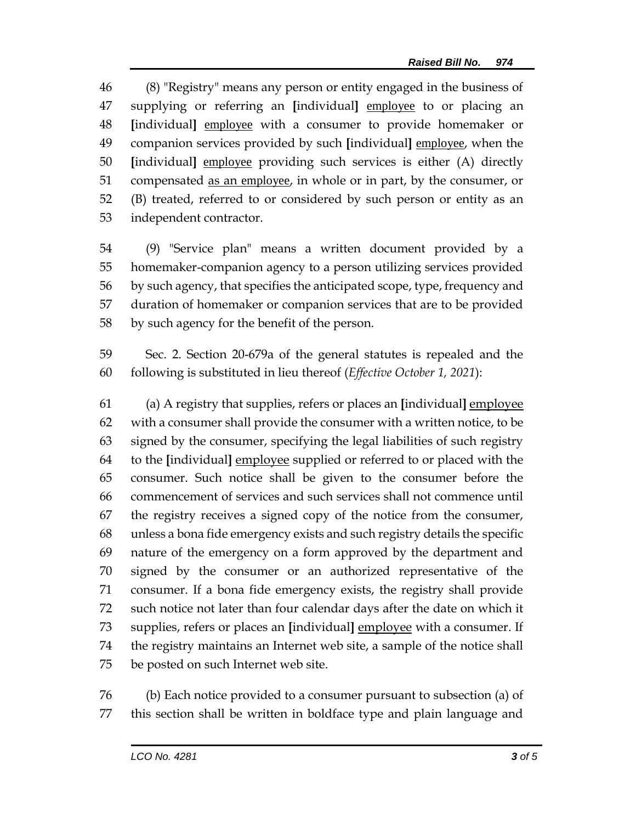(8) "Registry" means any person or entity engaged in the business of supplying or referring an **[**individual**]** employee to or placing an **[**individual**]** employee with a consumer to provide homemaker or companion services provided by such **[**individual**]** employee, when the **[**individual**]** employee providing such services is either (A) directly 51 compensated <u>as an employee</u>, in whole or in part, by the consumer, or (B) treated, referred to or considered by such person or entity as an independent contractor.

- (9) "Service plan" means a written document provided by a homemaker-companion agency to a person utilizing services provided by such agency, that specifies the anticipated scope, type, frequency and duration of homemaker or companion services that are to be provided by such agency for the benefit of the person.
- Sec. 2. Section 20-679a of the general statutes is repealed and the following is substituted in lieu thereof (*Effective October 1, 2021*):

 (a) A registry that supplies, refers or places an **[**individual**]** employee with a consumer shall provide the consumer with a written notice, to be signed by the consumer, specifying the legal liabilities of such registry to the **[**individual**]** employee supplied or referred to or placed with the consumer. Such notice shall be given to the consumer before the commencement of services and such services shall not commence until the registry receives a signed copy of the notice from the consumer, unless a bona fide emergency exists and such registry details the specific nature of the emergency on a form approved by the department and signed by the consumer or an authorized representative of the consumer. If a bona fide emergency exists, the registry shall provide such notice not later than four calendar days after the date on which it supplies, refers or places an **[**individual**]** employee with a consumer. If the registry maintains an Internet web site, a sample of the notice shall be posted on such Internet web site.

 (b) Each notice provided to a consumer pursuant to subsection (a) of this section shall be written in boldface type and plain language and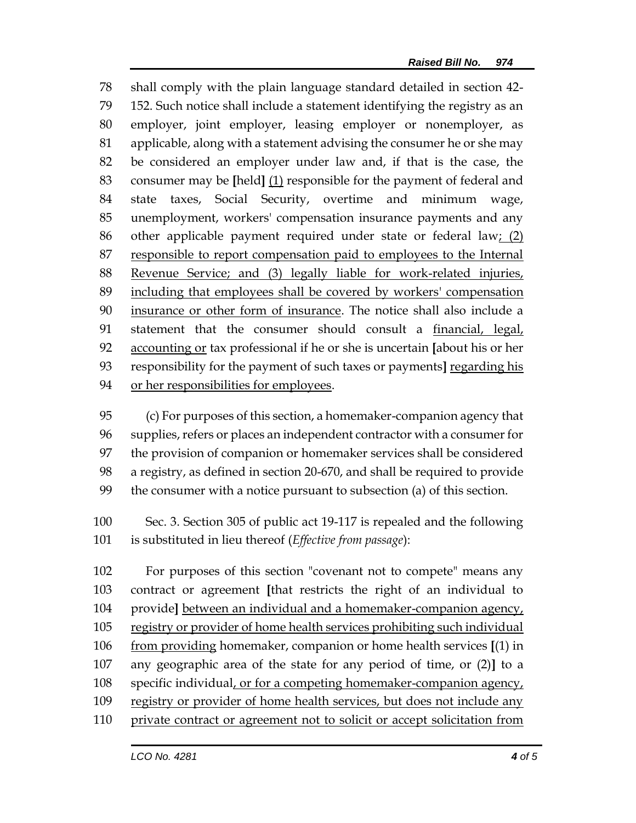shall comply with the plain language standard detailed in section 42- 152. Such notice shall include a statement identifying the registry as an employer, joint employer, leasing employer or nonemployer, as applicable, along with a statement advising the consumer he or she may be considered an employer under law and, if that is the case, the consumer may be **[**held**]** (1) responsible for the payment of federal and state taxes, Social Security, overtime and minimum wage, unemployment, workers' compensation insurance payments and any other applicable payment required under state or federal law; (2) 87 responsible to report compensation paid to employees to the Internal Revenue Service; and (3) legally liable for work-related injuries, including that employees shall be covered by workers' compensation insurance or other form of insurance. The notice shall also include a statement that the consumer should consult a financial, legal, accounting or tax professional if he or she is uncertain **[**about his or her responsibility for the payment of such taxes or payments**]** regarding his or her responsibilities for employees.

 (c) For purposes of this section, a homemaker-companion agency that supplies, refers or places an independent contractor with a consumer for the provision of companion or homemaker services shall be considered a registry, as defined in section 20-670, and shall be required to provide the consumer with a notice pursuant to subsection (a) of this section.

 Sec. 3. Section 305 of public act 19-117 is repealed and the following is substituted in lieu thereof (*Effective from passage*):

 For purposes of this section "covenant not to compete" means any contract or agreement **[**that restricts the right of an individual to provide**]** between an individual and a homemaker-companion agency, registry or provider of home health services prohibiting such individual from providing homemaker, companion or home health services **[**(1) in any geographic area of the state for any period of time, or (2)**]** to a specific individual, or for a competing homemaker-companion agency, 109 registry or provider of home health services, but does not include any private contract or agreement not to solicit or accept solicitation from